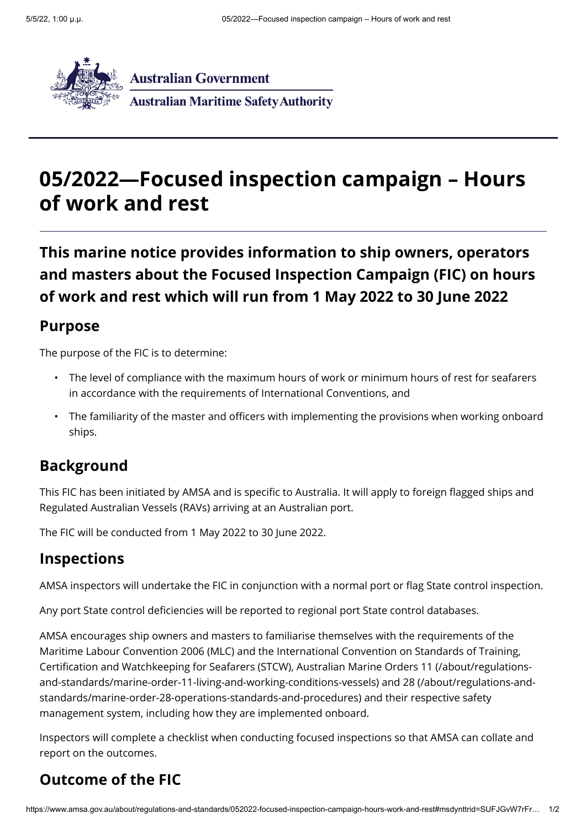

# **05/2022—Focused inspection campaign – Hours of work and rest**

**This marine notice provides information to ship owners, operators and masters about the Focused Inspection Campaign (FIC) on hours of work and rest which will run from 1 May 2022 to 30 June 2022**

#### **Purpose**

The purpose of the FIC is to determine:

- $\bm{\cdot}$  The level of compliance with the maximum hours of work or minimum hours of rest for seafarers in accordance with the requirements of International Conventions, and
- The familiarity of the master and officers with implementing the provisions when working onboard •ships.

#### **Background**

This FIC has been initiated by AMSA and is specific to Australia. It will apply to foreign flagged ships and Regulated Australian Vessels (RAVs) arriving at an Australian port.

The FIC will be conducted from 1 May 2022 to 30 June 2022.

#### **Inspections**

AMSA inspectors will undertake the FIC in conjunction with a normal port or flag State control inspection.

Any port State control deficiencies will be reported to regional port State control databases.

AMSA encourages ship owners and masters to familiarise themselves with the requirements of the Maritime Labour Convention 2006 (MLC) and the International Convention on Standards of Training, Certification and Watchkeeping for Seafarers (STCW), Australian Marine Orders 11 (/about/regulations[and-standards/marine-order-11-living-and-working-conditions-vessels\) and 28 \(/about/regulations-and](https://www.amsa.gov.au/about/regulations-and-standards/marine-order-11-living-and-working-conditions-vessels)standards/marine-order-28-operations-standards-and-procedures) and their respective safety management system, including how they are implemented onboard.

Inspectors will complete a checklist when conducting focused inspections so that AMSA can collate and report on the outcomes.

## **Outcome of the FIC**